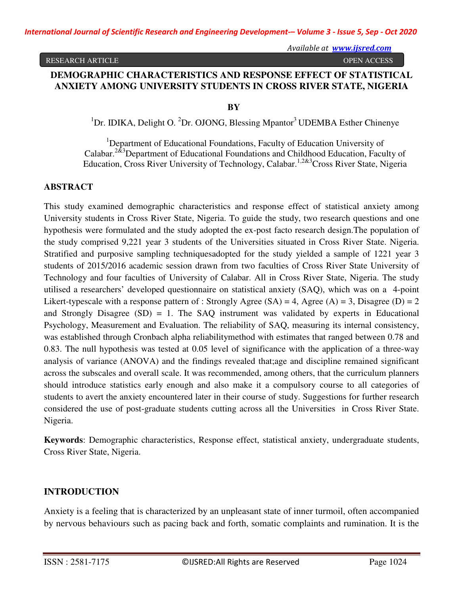*Available at www.ijsred.com*

#### RESEARCH ARTICLE **The CONSTRUCTION CONSTRUCTS** OPEN ACCESS

# **DEMOGRAPHIC CHARACTERISTICS AND RESPONSE EFFECT OF STATISTICAL ANXIETY AMONG UNIVERSITY STUDENTS IN CROSS RIVER STATE, NIGERIA**

 **BY** 

<sup>1</sup>Dr. IDIKA, Delight O. <sup>2</sup>Dr. OJONG, Blessing Mpantor<sup>3</sup> UDEMBA Esther Chinenve

<sup>1</sup>Department of Educational Foundations, Faculty of Education University of Calabar.2&3Department of Educational Foundations and Childhood Education, Faculty of Education, Cross River University of Technology, Calabar.<sup>1,2&3</sup>Cross River State, Nigeria

# **ABSTRACT**

This study examined demographic characteristics and response effect of statistical anxiety among University students in Cross River State, Nigeria. To guide the study, two research questions and one hypothesis were formulated and the study adopted the ex-post facto research design.The population of the study comprised 9,221 year 3 students of the Universities situated in Cross River State. Nigeria. Stratified and purposive sampling techniquesadopted for the study yielded a sample of 1221 year 3 students of 2015/2016 academic session drawn from two faculties of Cross River State University of Technology and four faculties of University of Calabar. All in Cross River State, Nigeria. The study utilised a researchers' developed questionnaire on statistical anxiety (SAQ), which was on a 4-point Likert-typescale with a response pattern of : Strongly Agree  $(SA) = 4$ , Agree  $(A) = 3$ , Disagree  $(D) = 2$ and Strongly Disagree (SD) = 1. The SAQ instrument was validated by experts in Educational Psychology, Measurement and Evaluation. The reliability of SAQ, measuring its internal consistency, was established through Cronbach alpha reliabilitymethod with estimates that ranged between 0.78 and 0.83. The null hypothesis was tested at 0.05 level of significance with the application of a three-way analysis of variance (ANOVA) and the findings revealed that;age and discipline remained significant across the subscales and overall scale. It was recommended, among others, that the curriculum planners should introduce statistics early enough and also make it a compulsory course to all categories of students to avert the anxiety encountered later in their course of study. Suggestions for further research considered the use of post-graduate students cutting across all the Universities in Cross River State. Nigeria.

**Keywords**: Demographic characteristics, Response effect, statistical anxiety, undergraduate students, Cross River State, Nigeria.

# **INTRODUCTION**

Anxiety is a feeling that is characterized by an unpleasant state of inner turmoil, often accompanied by nervous behaviours such as pacing back and forth, somatic complaints and rumination. It is the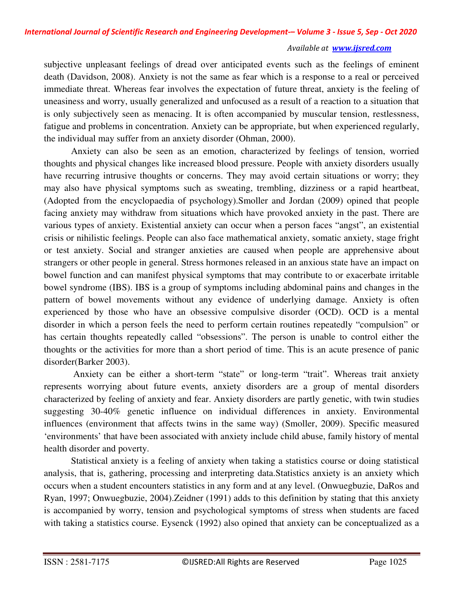subjective unpleasant feelings of dread over anticipated events such as the feelings of eminent death (Davidson, 2008). Anxiety is not the same as fear which is a response to a real or perceived immediate threat. Whereas fear involves the expectation of future threat, anxiety is the feeling of uneasiness and worry, usually generalized and unfocused as a result of a reaction to a situation that is only subjectively seen as menacing. It is often accompanied by muscular tension, restlessness, fatigue and problems in concentration. Anxiety can be appropriate, but when experienced regularly, the individual may suffer from an anxiety disorder (Ohman, 2000).

Anxiety can also be seen as an emotion, characterized by feelings of tension, worried thoughts and physical changes like increased blood pressure. People with anxiety disorders usually have recurring intrusive thoughts or concerns. They may avoid certain situations or worry; they may also have physical symptoms such as sweating, trembling, dizziness or a rapid heartbeat, (Adopted from the encyclopaedia of psychology).Smoller and Jordan (2009) opined that people facing anxiety may withdraw from situations which have provoked anxiety in the past. There are various types of anxiety. Existential anxiety can occur when a person faces "angst", an existential crisis or nihilistic feelings. People can also face mathematical anxiety, somatic anxiety, stage fright or test anxiety. Social and stranger anxieties are caused when people are apprehensive about strangers or other people in general. Stress hormones released in an anxious state have an impact on bowel function and can manifest physical symptoms that may contribute to or exacerbate irritable bowel syndrome (IBS). IBS is a group of symptoms including abdominal pains and changes in the pattern of bowel movements without any evidence of underlying damage. Anxiety is often experienced by those who have an obsessive compulsive disorder (OCD). OCD is a mental disorder in which a person feels the need to perform certain routines repeatedly "compulsion" or has certain thoughts repeatedly called "obsessions". The person is unable to control either the thoughts or the activities for more than a short period of time. This is an acute presence of panic disorder(Barker 2003).

Anxiety can be either a short-term "state" or long-term "trait". Whereas trait anxiety represents worrying about future events, anxiety disorders are a group of mental disorders characterized by feeling of anxiety and fear. Anxiety disorders are partly genetic, with twin studies suggesting 30-40% genetic influence on individual differences in anxiety. Environmental influences (environment that affects twins in the same way) (Smoller, 2009). Specific measured 'environments' that have been associated with anxiety include child abuse, family history of mental health disorder and poverty.

Statistical anxiety is a feeling of anxiety when taking a statistics course or doing statistical analysis, that is, gathering, processing and interpreting data.Statistics anxiety is an anxiety which occurs when a student encounters statistics in any form and at any level. (Onwuegbuzie, DaRos and Ryan, 1997; Onwuegbuzie, 2004).Zeidner (1991) adds to this definition by stating that this anxiety is accompanied by worry, tension and psychological symptoms of stress when students are faced with taking a statistics course. Eysenck (1992) also opined that anxiety can be conceptualized as a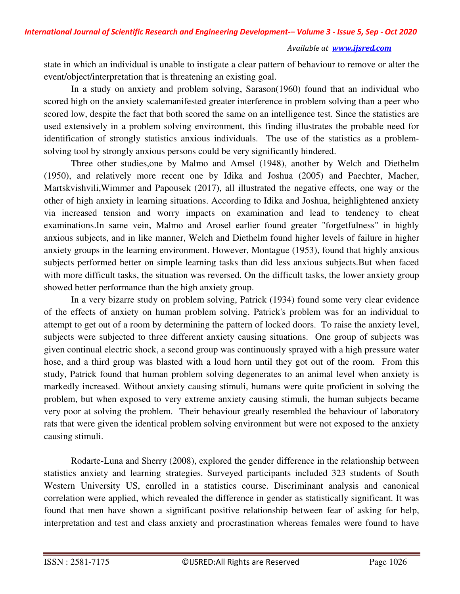state in which an individual is unable to instigate a clear pattern of behaviour to remove or alter the event/object/interpretation that is threatening an existing goal.

In a study on anxiety and problem solving, Sarason(1960) found that an individual who scored high on the anxiety scalemanifested greater interference in problem solving than a peer who scored low, despite the fact that both scored the same on an intelligence test. Since the statistics are used extensively in a problem solving environment, this finding illustrates the probable need for identification of strongly statistics anxious individuals. The use of the statistics as a problemsolving tool by strongly anxious persons could be very significantly hindered.

Three other studies,one by Malmo and Amsel (1948), another by Welch and Diethelm (1950), and relatively more recent one by Idika and Joshua (2005) and Paechter, Macher, Martskvishvili,Wimmer and Papousek (2017), all illustrated the negative effects, one way or the other of high anxiety in learning situations. According to Idika and Joshua, heighlightened anxiety via increased tension and worry impacts on examination and lead to tendency to cheat examinations.In same vein, Malmo and Arosel earlier found greater "forgetfulness" in highly anxious subjects, and in like manner, Welch and Diethelm found higher levels of failure in higher anxiety groups in the learning environment. However, Montague (1953), found that highly anxious subjects performed better on simple learning tasks than did less anxious subjects.But when faced with more difficult tasks, the situation was reversed. On the difficult tasks, the lower anxiety group showed better performance than the high anxiety group.

In a very bizarre study on problem solving, Patrick (1934) found some very clear evidence of the effects of anxiety on human problem solving. Patrick's problem was for an individual to attempt to get out of a room by determining the pattern of locked doors. To raise the anxiety level, subjects were subjected to three different anxiety causing situations. One group of subjects was given continual electric shock, a second group was continuously sprayed with a high pressure water hose, and a third group was blasted with a loud horn until they got out of the room. From this study, Patrick found that human problem solving degenerates to an animal level when anxiety is markedly increased. Without anxiety causing stimuli, humans were quite proficient in solving the problem, but when exposed to very extreme anxiety causing stimuli, the human subjects became very poor at solving the problem. Their behaviour greatly resembled the behaviour of laboratory rats that were given the identical problem solving environment but were not exposed to the anxiety causing stimuli.

Rodarte-Luna and Sherry (2008), explored the gender difference in the relationship between statistics anxiety and learning strategies. Surveyed participants included 323 students of South Western University US, enrolled in a statistics course. Discriminant analysis and canonical correlation were applied, which revealed the difference in gender as statistically significant. It was found that men have shown a significant positive relationship between fear of asking for help, interpretation and test and class anxiety and procrastination whereas females were found to have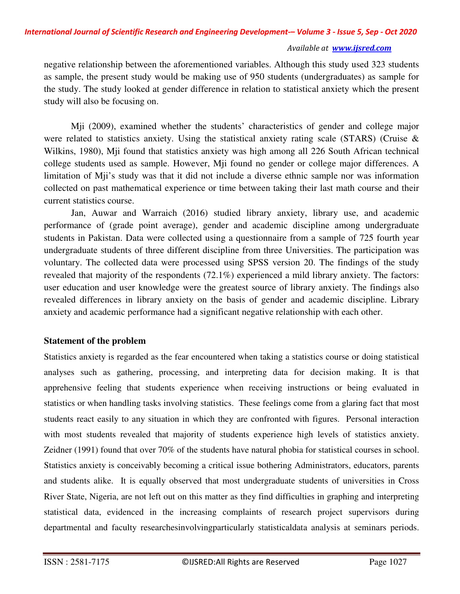negative relationship between the aforementioned variables. Although this study used 323 students as sample, the present study would be making use of 950 students (undergraduates) as sample for the study. The study looked at gender difference in relation to statistical anxiety which the present study will also be focusing on.

 Mji (2009), examined whether the students' characteristics of gender and college major were related to statistics anxiety. Using the statistical anxiety rating scale (STARS) (Cruise & Wilkins, 1980), Mji found that statistics anxiety was high among all 226 South African technical college students used as sample. However, Mji found no gender or college major differences. A limitation of Mji's study was that it did not include a diverse ethnic sample nor was information collected on past mathematical experience or time between taking their last math course and their current statistics course.

Jan, Auwar and Warraich (2016) studied library anxiety, library use, and academic performance of (grade point average), gender and academic discipline among undergraduate students in Pakistan. Data were collected using a questionnaire from a sample of 725 fourth year undergraduate students of three different discipline from three Universities. The participation was voluntary. The collected data were processed using SPSS version 20. The findings of the study revealed that majority of the respondents (72.1%) experienced a mild library anxiety. The factors: user education and user knowledge were the greatest source of library anxiety. The findings also revealed differences in library anxiety on the basis of gender and academic discipline. Library anxiety and academic performance had a significant negative relationship with each other.

# **Statement of the problem**

Statistics anxiety is regarded as the fear encountered when taking a statistics course or doing statistical analyses such as gathering, processing, and interpreting data for decision making. It is that apprehensive feeling that students experience when receiving instructions or being evaluated in statistics or when handling tasks involving statistics. These feelings come from a glaring fact that most students react easily to any situation in which they are confronted with figures. Personal interaction with most students revealed that majority of students experience high levels of statistics anxiety. Zeidner (1991) found that over 70% of the students have natural phobia for statistical courses in school. Statistics anxiety is conceivably becoming a critical issue bothering Administrators, educators, parents and students alike. It is equally observed that most undergraduate students of universities in Cross River State, Nigeria, are not left out on this matter as they find difficulties in graphing and interpreting statistical data, evidenced in the increasing complaints of research project supervisors during departmental and faculty researchesinvolvingparticularly statisticaldata analysis at seminars periods.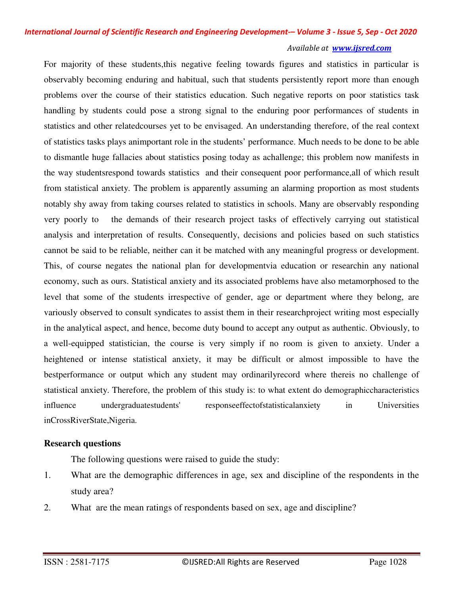#### *Available at www.ijsred.com*

For majority of these students,this negative feeling towards figures and statistics in particular is observably becoming enduring and habitual, such that students persistently report more than enough problems over the course of their statistics education. Such negative reports on poor statistics task handling by students could pose a strong signal to the enduring poor performances of students in statistics and other relatedcourses yet to be envisaged. An understanding therefore, of the real context of statistics tasks plays animportant role in the students' performance. Much needs to be done to be able to dismantle huge fallacies about statistics posing today as achallenge; this problem now manifests in the way studentsrespond towards statistics and their consequent poor performance,all of which result from statistical anxiety. The problem is apparently assuming an alarming proportion as most students notably shy away from taking courses related to statistics in schools. Many are observably responding very poorly to the demands of their research project tasks of effectively carrying out statistical analysis and interpretation of results. Consequently, decisions and policies based on such statistics cannot be said to be reliable, neither can it be matched with any meaningful progress or development. This, of course negates the national plan for developmentvia education or researchin any national economy, such as ours. Statistical anxiety and its associated problems have also metamorphosed to the level that some of the students irrespective of gender, age or department where they belong, are variously observed to consult syndicates to assist them in their researchproject writing most especially in the analytical aspect, and hence, become duty bound to accept any output as authentic. Obviously, to a well-equipped statistician, the course is very simply if no room is given to anxiety. Under a heightened or intense statistical anxiety, it may be difficult or almost impossible to have the bestperformance or output which any student may ordinarilyrecord where thereis no challenge of statistical anxiety. Therefore, the problem of this study is: to what extent do demographiccharacteristics influence undergraduatestudents' responseeffectofstatisticalanxiety in Universities inCrossRiverState,Nigeria.

# **Research questions**

The following questions were raised to guide the study:

- 1. What are the demographic differences in age, sex and discipline of the respondents in the study area?
- 2. What are the mean ratings of respondents based on sex, age and discipline?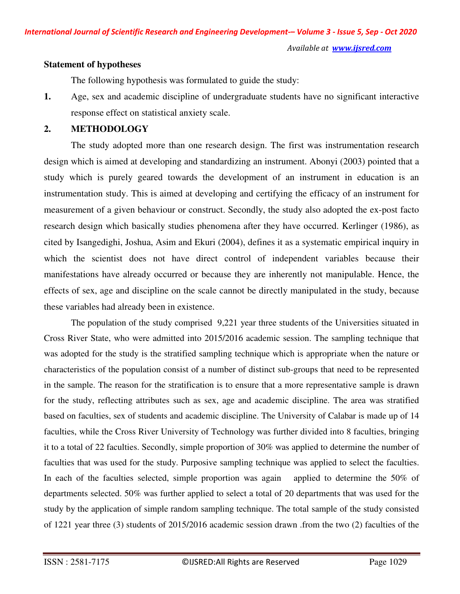#### **Statement of hypotheses**

The following hypothesis was formulated to guide the study:

**1.** Age, sex and academic discipline of undergraduate students have no significant interactive response effect on statistical anxiety scale.

# **2. METHODOLOGY**

The study adopted more than one research design. The first was instrumentation research design which is aimed at developing and standardizing an instrument. Abonyi (2003) pointed that a study which is purely geared towards the development of an instrument in education is an instrumentation study. This is aimed at developing and certifying the efficacy of an instrument for measurement of a given behaviour or construct. Secondly, the study also adopted the ex-post facto research design which basically studies phenomena after they have occurred. Kerlinger (1986), as cited by Isangedighi, Joshua, Asim and Ekuri (2004), defines it as a systematic empirical inquiry in which the scientist does not have direct control of independent variables because their manifestations have already occurred or because they are inherently not manipulable. Hence, the effects of sex, age and discipline on the scale cannot be directly manipulated in the study, because these variables had already been in existence.

 The population of the study comprised 9,221 year three students of the Universities situated in Cross River State, who were admitted into 2015/2016 academic session. The sampling technique that was adopted for the study is the stratified sampling technique which is appropriate when the nature or characteristics of the population consist of a number of distinct sub-groups that need to be represented in the sample. The reason for the stratification is to ensure that a more representative sample is drawn for the study, reflecting attributes such as sex, age and academic discipline. The area was stratified based on faculties, sex of students and academic discipline. The University of Calabar is made up of 14 faculties, while the Cross River University of Technology was further divided into 8 faculties, bringing it to a total of 22 faculties. Secondly, simple proportion of 30% was applied to determine the number of faculties that was used for the study. Purposive sampling technique was applied to select the faculties. In each of the faculties selected, simple proportion was again applied to determine the 50% of departments selected. 50% was further applied to select a total of 20 departments that was used for the study by the application of simple random sampling technique. The total sample of the study consisted of 1221 year three (3) students of 2015/2016 academic session drawn .from the two (2) faculties of the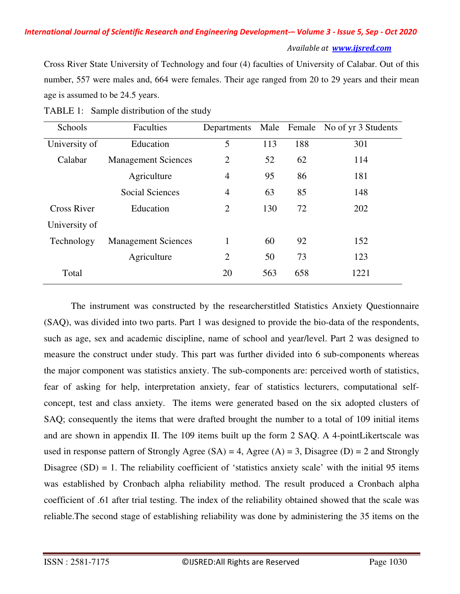Cross River State University of Technology and four (4) faculties of University of Calabar. Out of this number, 557 were males and, 664 were females. Their age ranged from 20 to 29 years and their mean age is assumed to be 24.5 years.

| Schools            | Faculties                  | Departments    |     |     | Male Female No of yr 3 Students |
|--------------------|----------------------------|----------------|-----|-----|---------------------------------|
| University of      | Education                  | 5              | 113 | 188 | 301                             |
| Calabar            | <b>Management Sciences</b> | $\overline{2}$ | 52  | 62  | 114                             |
|                    | Agriculture                | $\overline{4}$ | 95  | 86  | 181                             |
|                    | <b>Social Sciences</b>     | $\overline{4}$ | 63  | 85  | 148                             |
| <b>Cross River</b> | Education                  | $\overline{2}$ | 130 | 72  | 202                             |
| University of      |                            |                |     |     |                                 |
| Technology         | <b>Management Sciences</b> | 1              | 60  | 92  | 152                             |
|                    | Agriculture                | $\overline{2}$ | 50  | 73  | 123                             |
| Total              |                            | 20             | 563 | 658 | 1221                            |

TABLE 1: Sample distribution of the study

 The instrument was constructed by the researcherstitled Statistics Anxiety Questionnaire (SAQ), was divided into two parts. Part 1 was designed to provide the bio-data of the respondents, such as age, sex and academic discipline, name of school and year/level. Part 2 was designed to measure the construct under study. This part was further divided into 6 sub-components whereas the major component was statistics anxiety. The sub-components are: perceived worth of statistics, fear of asking for help, interpretation anxiety, fear of statistics lecturers, computational selfconcept, test and class anxiety. The items were generated based on the six adopted clusters of SAQ; consequently the items that were drafted brought the number to a total of 109 initial items and are shown in appendix II. The 109 items built up the form 2 SAQ. A 4-pointLikertscale was used in response pattern of Strongly Agree  $(SA) = 4$ , Agree  $(A) = 3$ , Disagree  $(D) = 2$  and Strongly Disagree  $(SD) = 1$ . The reliability coefficient of 'statistics anxiety scale' with the initial 95 items was established by Cronbach alpha reliability method. The result produced a Cronbach alpha coefficient of .61 after trial testing. The index of the reliability obtained showed that the scale was reliable.The second stage of establishing reliability was done by administering the 35 items on the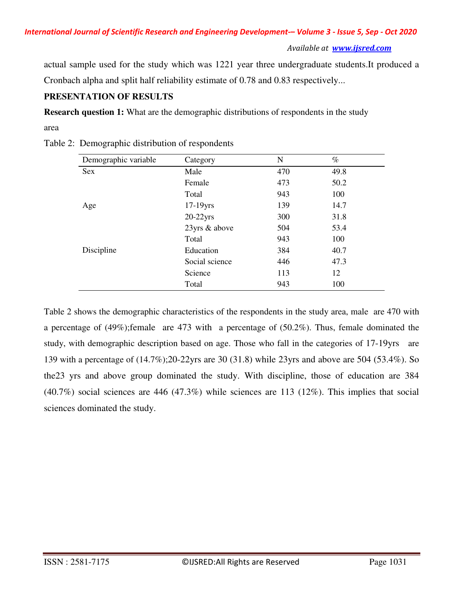*Available at www.ijsred.com*

actual sample used for the study which was 1221 year three undergraduate students.It produced a Cronbach alpha and split half reliability estimate of 0.78 and 0.83 respectively...

# **PRESENTATION OF RESULTS**

**Research question 1:** What are the demographic distributions of respondents in the study

area

| Demographic variable | Category       | N   | $\%$ |
|----------------------|----------------|-----|------|
| Sex                  | Male           | 470 | 49.8 |
|                      | Female         | 473 | 50.2 |
|                      | Total          | 943 | 100  |
| Age                  | $17-19$ yrs    | 139 | 14.7 |
|                      | $20-22$ yrs    | 300 | 31.8 |
|                      | 23yrs & above  | 504 | 53.4 |
|                      | Total          | 943 | 100  |
| Discipline           | Education      | 384 | 40.7 |
|                      | Social science | 446 | 47.3 |
|                      | Science        | 113 | 12   |
|                      | Total          | 943 | 100  |

Table 2: Demographic distribution of respondents

Table 2 shows the demographic characteristics of the respondents in the study area, male are 470 with a percentage of (49%);female are 473 with a percentage of (50.2%). Thus, female dominated the study, with demographic description based on age. Those who fall in the categories of 17-19yrs are 139 with a percentage of (14.7%);20-22yrs are 30 (31.8) while 23yrs and above are 504 (53.4%). So the23 yrs and above group dominated the study. With discipline, those of education are 384 (40.7%) social sciences are 446 (47.3%) while sciences are 113 (12%). This implies that social sciences dominated the study.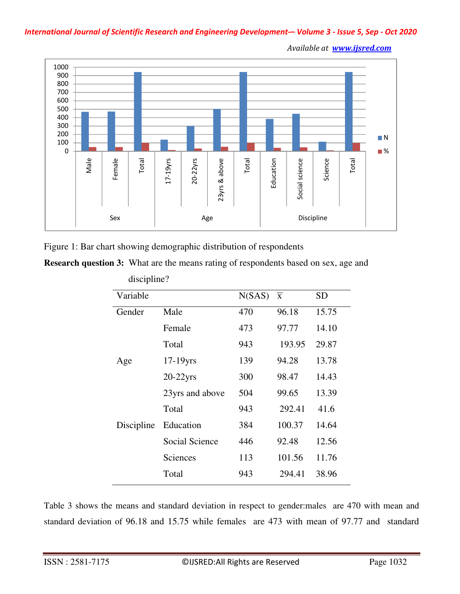

Figure 1: Bar chart showing demographic distribution of respondents

**Research question 3:** What are the means rating of respondents based on sex, age and

| Variable   |                 | N(SAS) | $\overline{X}$ | SD    |
|------------|-----------------|--------|----------------|-------|
| Gender     | Male            | 470    | 96.18          | 15.75 |
|            | Female          | 473    | 97.77          | 14.10 |
|            | Total           | 943    | 193.95         | 29.87 |
| Age        | $17-19$ yrs     | 139    | 94.28          | 13.78 |
|            | $20-22$ yrs     | 300    | 98.47          | 14.43 |
|            | 23yrs and above | 504    | 99.65          | 13.39 |
|            | Total           | 943    | 292.41         | 41.6  |
| Discipline | Education       | 384    | 100.37         | 14.64 |
|            | Social Science  | 446    | 92.48          | 12.56 |
|            | Sciences        | 113    | 101.56         | 11.76 |
|            | Total           | 943    | 294.41         | 38.96 |

discipline?

Table 3 shows the means and standard deviation in respect to gender:males are 470 with mean and standard deviation of 96.18 and 15.75 while females are 473 with mean of 97.77 and standard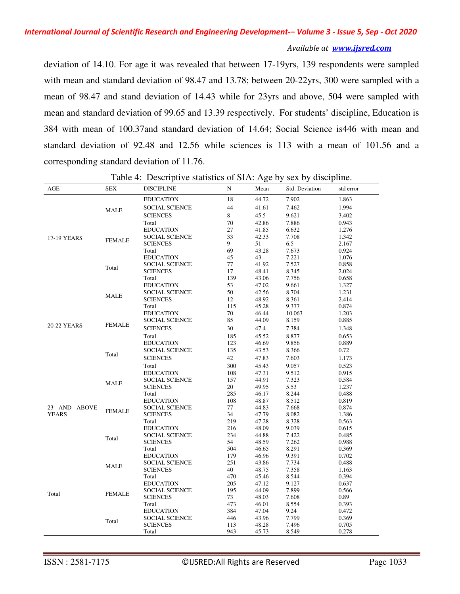#### *Available at www.ijsred.com*

deviation of 14.10. For age it was revealed that between 17-19yrs, 139 respondents were sampled with mean and standard deviation of 98.47 and 13.78; between 20-22yrs, 300 were sampled with a mean of 98.47 and stand deviation of 14.43 while for 23yrs and above, 504 were sampled with mean and standard deviation of 99.65 and 13.39 respectively. For students' discipline, Education is 384 with mean of 100.37and standard deviation of 14.64; Social Science is446 with mean and standard deviation of 92.48 and 12.56 while sciences is 113 with a mean of 101.56 and a corresponding standard deviation of 11.76.

| AGE          | <b>SEX</b>      | <b>DISCIPLINE</b>     | N       | Mean  | Std. Deviation | std error |
|--------------|-----------------|-----------------------|---------|-------|----------------|-----------|
|              |                 | <b>EDUCATION</b>      | 18      | 44.72 | 7.902          | 1.863     |
|              | MALE            | <b>SOCIAL SCIENCE</b> | 44      | 41.61 | 7.462          | 1.994     |
|              |                 | <b>SCIENCES</b>       | $\bf 8$ | 45.5  | 9.621          | 3.402     |
|              |                 | Total                 | 70      | 42.86 | 7.886          | 0.943     |
|              |                 | <b>EDUCATION</b>      | 27      | 41.85 | 6.632          | 1.276     |
| 17-19 YEARS  |                 | <b>SOCIAL SCIENCE</b> | 33      | 42.33 | 7.708          | 1.342     |
|              | <b>FEMALE</b>   | <b>SCIENCES</b>       | 9       | 51    | 6.5            | 2.167     |
|              |                 | Total                 | 69      | 43.28 | 7.673          | 0.924     |
|              |                 | <b>EDUCATION</b>      | 45      | 43    | 7.221          | 1.076     |
|              | Total           | <b>SOCIAL SCIENCE</b> | 77      | 41.92 | 7.527          | 0.858     |
|              |                 | <b>SCIENCES</b>       | 17      | 48.41 | 8.345          | 2.024     |
|              |                 | Total                 | 139     | 43.06 | 7.756          | 0.658     |
|              |                 | <b>EDUCATION</b>      | 53      | 47.02 | 9.661          | 1.327     |
|              | <b>MALE</b>     | <b>SOCIAL SCIENCE</b> | 50      | 42.56 | 8.704          | 1.231     |
|              |                 | <b>SCIENCES</b>       | 12      | 48.92 | 8.361          | 2.414     |
|              |                 | Total                 | 115     | 45.28 | 9.377          | 0.874     |
|              |                 | <b>EDUCATION</b>      | 70      | 46.44 | 10.063         | 1.203     |
|              | <b>FEMALE</b>   | <b>SOCIAL SCIENCE</b> | 85      | 44.09 | 8.159          | 0.885     |
| 20-22 YEARS  |                 | <b>SCIENCES</b>       | 30      | 47.4  | 7.384          | 1.348     |
|              |                 | Total                 | 185     | 45.52 | 8.877          | 0.653     |
|              |                 | <b>EDUCATION</b>      | 123     | 46.69 | 9.856          | 0.889     |
|              |                 | <b>SOCIAL SCIENCE</b> | 135     | 43.53 | 8.366          | 0.72      |
|              | Total           | <b>SCIENCES</b>       | 42      | 47.83 | 7.603          | 1.173     |
|              |                 | Total                 | 300     | 45.43 | 9.057          | 0.523     |
|              |                 | <b>EDUCATION</b>      | 108     | 47.31 | 9.512          | 0.915     |
|              |                 | <b>SOCIAL SCIENCE</b> | 157     | 44.91 | 7.323          | 0.584     |
|              | <b>MALE</b>     | <b>SCIENCES</b>       | 20      | 49.95 | 5.53           | 1.237     |
|              |                 | Total                 | 285     | 46.17 | 8.244          | 0.488     |
|              |                 | <b>EDUCATION</b>      | 108     | 48.87 | 8.512          | 0.819     |
| 23 AND ABOVE |                 | SOCIAL SCIENCE        | 77      | 44.83 | 7.668          | 0.874     |
| <b>YEARS</b> | <b>FEMALE</b>   | <b>SCIENCES</b>       | 34      | 47.79 | 8.082          | 1.386     |
|              |                 | Total                 | 219     | 47.28 | 8.328          | 0.563     |
|              |                 | <b>EDUCATION</b>      | 216     | 48.09 | 9.039          | 0.615     |
|              | Total           | <b>SOCIAL SCIENCE</b> | 234     | 44.88 | 7.422          | 0.485     |
|              |                 | <b>SCIENCES</b>       | 54      | 48.59 | 7.262          | 0.988     |
|              |                 | Total                 | 504     | 46.65 | 8.291          | 0.369     |
|              |                 | <b>EDUCATION</b>      | 179     | 46.96 | 9.391          | 0.702     |
|              | <b>MALE</b>     | <b>SOCIAL SCIENCE</b> | 251     | 43.86 | 7.734          | 0.488     |
|              |                 | <b>SCIENCES</b>       | 40      | 48.75 | 7.358          | 1.163     |
|              |                 | Total                 | 470     | 45.46 | 8.544          | 0.394     |
|              |                 | <b>EDUCATION</b>      | 205     | 47.12 | 9.127          | 0.637     |
| Total        | <b>FEMALE</b>   | <b>SOCIAL SCIENCE</b> | 195     | 44.09 | 7.899          | 0.566     |
|              |                 | <b>SCIENCES</b>       | 73      | 48.03 | 7.608          | 0.89      |
|              |                 | Total                 | 473     | 46.01 | 8.554          | 0.393     |
|              |                 | <b>EDUCATION</b>      | 384     | 47.04 | 9.24           | 0.472     |
|              | Total           | SOCIAL SCIENCE        | 446     | 43.96 | 7.799          | 0.369     |
|              | <b>SCIENCES</b> | 113                   | 48.28   | 7.496 | 0.705          |           |
|              |                 | Total                 | 943     | 45.73 | 8.549          | 0.278     |

Table 4: Descriptive statistics of SIA: Age by sex by discipline.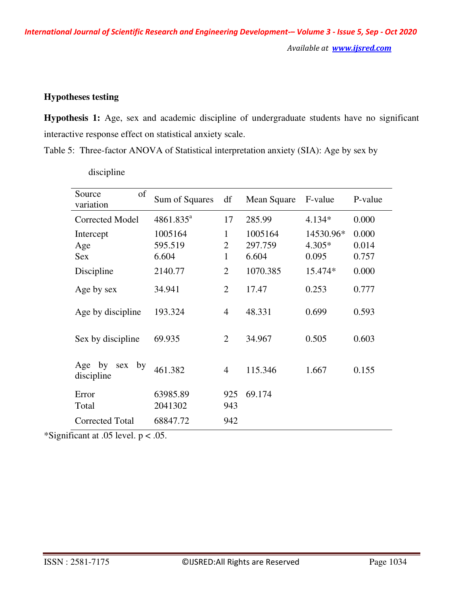*International Journal of Scientific Research and Engineering Development-– Volume 3 - Issue 5, Sep - Oct 2020 Available at www.ijsred.com*

# **Hypotheses testing**

**Hypothesis 1:** Age, sex and academic discipline of undergraduate students have no significant interactive response effect on statistical anxiety scale.

Table 5: Three-factor ANOVA of Statistical interpretation anxiety (SIA): Age by sex by

| of<br>Source<br>variation         | Sum of Squares              | df                       | Mean Square                 | F-value                        | P-value                 |
|-----------------------------------|-----------------------------|--------------------------|-----------------------------|--------------------------------|-------------------------|
| <b>Corrected Model</b>            | $4861.835^a$                | 17                       | 285.99                      | $4.134*$                       | 0.000                   |
| Intercept<br>Age<br><b>Sex</b>    | 1005164<br>595.519<br>6.604 | 1<br>$\overline{2}$<br>1 | 1005164<br>297.759<br>6.604 | 14530.96*<br>$4.305*$<br>0.095 | 0.000<br>0.014<br>0.757 |
| Discipline                        | 2140.77                     | $\overline{2}$           | 1070.385                    | 15.474*                        | 0.000                   |
| Age by sex                        | 34.941                      | $\overline{2}$           | 17.47                       | 0.253                          | 0.777                   |
| Age by discipline                 | 193.324                     | $\overline{4}$           | 48.331                      | 0.699                          | 0.593                   |
| Sex by discipline                 | 69.935                      | $\overline{2}$           | 34.967                      | 0.505                          | 0.603                   |
| Age by<br>by<br>sex<br>discipline | 461.382                     | $\overline{4}$           | 115.346                     | 1.667                          | 0.155                   |
| Error<br>Total                    | 63985.89<br>2041302         | 925<br>943               | 69.174                      |                                |                         |
| <b>Corrected Total</b>            | 68847.72                    | 942                      |                             |                                |                         |

discipline

\*Significant at .05 level.  $p < .05$ .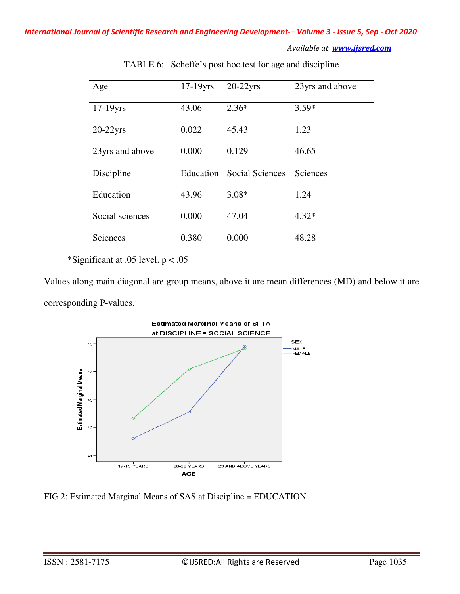| Age             | $17-19$ yrs | $20-22$ yrs            | 23yrs and above |
|-----------------|-------------|------------------------|-----------------|
| $17-19$ yrs     | 43.06       | $2.36*$                | $3.59*$         |
| $20-22$ yrs     | 0.022       | 45.43                  | 1.23            |
| 23yrs and above | 0.000       | 0.129                  | 46.65           |
| Discipline      | Education   | <b>Social Sciences</b> | Sciences        |
| Education       | 43.96       | $3.08*$                | 1.24            |
| Social sciences | 0.000       | 47.04                  | $4.32*$         |
| Sciences        | 0.380       | 0.000                  | 48.28           |

TABLE 6: Scheffe's post hoc test for age and discipline

\*Significant at .05 level.  $p < .05$ 

Values along main diagonal are group means, above it are mean differences (MD) and below it are corresponding P-values.



FIG 2: Estimated Marginal Means of SAS at Discipline = EDUCATION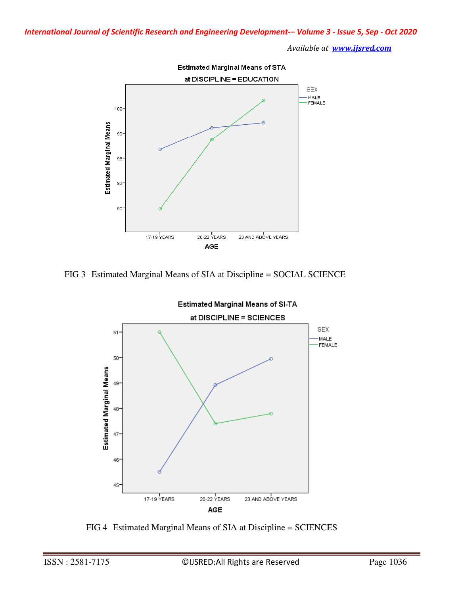

FIG 3 Estimated Marginal Means of SIA at Discipline = SOCIAL SCIENCE



FIG 4 Estimated Marginal Means of SIA at Discipline = SCIENCES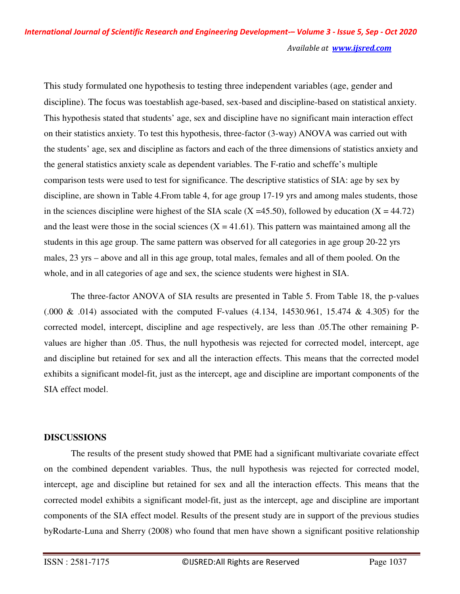This study formulated one hypothesis to testing three independent variables (age, gender and discipline). The focus was toestablish age-based, sex-based and discipline-based on statistical anxiety. This hypothesis stated that students' age, sex and discipline have no significant main interaction effect on their statistics anxiety. To test this hypothesis, three-factor (3-way) ANOVA was carried out with the students' age, sex and discipline as factors and each of the three dimensions of statistics anxiety and the general statistics anxiety scale as dependent variables. The F-ratio and scheffe's multiple comparison tests were used to test for significance. The descriptive statistics of SIA: age by sex by discipline, are shown in Table 4.From table 4, for age group 17-19 yrs and among males students, those in the sciences discipline were highest of the SIA scale  $(X = 45.50)$ , followed by education  $(X = 44.72)$ and the least were those in the social sciences  $(X = 41.61)$ . This pattern was maintained among all the students in this age group. The same pattern was observed for all categories in age group 20-22 yrs males, 23 yrs – above and all in this age group, total males, females and all of them pooled. On the whole, and in all categories of age and sex, the science students were highest in SIA.

The three-factor ANOVA of SIA results are presented in Table 5. From Table 18, the p-values  $(0.000 \& 0.014)$  associated with the computed F-values  $(4.134, 14530.961, 15.474 \& 4.305)$  for the corrected model, intercept, discipline and age respectively, are less than .05.The other remaining Pvalues are higher than .05. Thus, the null hypothesis was rejected for corrected model, intercept, age and discipline but retained for sex and all the interaction effects. This means that the corrected model exhibits a significant model-fit, just as the intercept, age and discipline are important components of the SIA effect model.

# **DISCUSSIONS**

The results of the present study showed that PME had a significant multivariate covariate effect on the combined dependent variables. Thus, the null hypothesis was rejected for corrected model, intercept, age and discipline but retained for sex and all the interaction effects. This means that the corrected model exhibits a significant model-fit, just as the intercept, age and discipline are important components of the SIA effect model. Results of the present study are in support of the previous studies byRodarte-Luna and Sherry (2008) who found that men have shown a significant positive relationship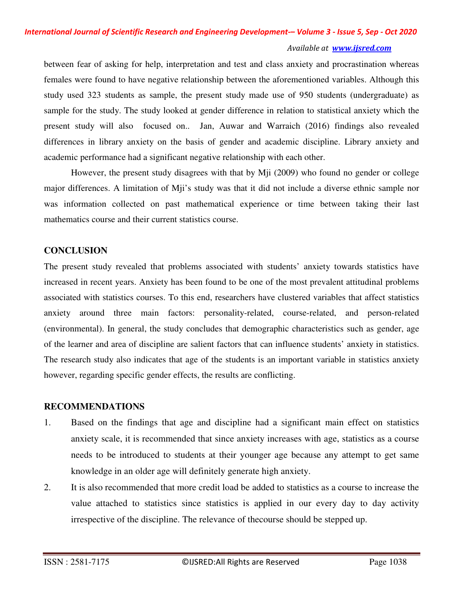between fear of asking for help, interpretation and test and class anxiety and procrastination whereas females were found to have negative relationship between the aforementioned variables. Although this study used 323 students as sample, the present study made use of 950 students (undergraduate) as sample for the study. The study looked at gender difference in relation to statistical anxiety which the present study will also focused on.. Jan, Auwar and Warraich (2016) findings also revealed differences in library anxiety on the basis of gender and academic discipline. Library anxiety and academic performance had a significant negative relationship with each other.

However, the present study disagrees with that by Mji (2009) who found no gender or college major differences. A limitation of Mji's study was that it did not include a diverse ethnic sample nor was information collected on past mathematical experience or time between taking their last mathematics course and their current statistics course.

# **CONCLUSION**

The present study revealed that problems associated with students' anxiety towards statistics have increased in recent years. Anxiety has been found to be one of the most prevalent attitudinal problems associated with statistics courses. To this end, researchers have clustered variables that affect statistics anxiety around three main factors: personality-related, course-related, and person-related (environmental). In general, the study concludes that demographic characteristics such as gender, age of the learner and area of discipline are salient factors that can influence students' anxiety in statistics. The research study also indicates that age of the students is an important variable in statistics anxiety however, regarding specific gender effects, the results are conflicting.

# **RECOMMENDATIONS**

- 1. Based on the findings that age and discipline had a significant main effect on statistics anxiety scale, it is recommended that since anxiety increases with age, statistics as a course needs to be introduced to students at their younger age because any attempt to get same knowledge in an older age will definitely generate high anxiety.
- 2. It is also recommended that more credit load be added to statistics as a course to increase the value attached to statistics since statistics is applied in our every day to day activity irrespective of the discipline. The relevance of thecourse should be stepped up.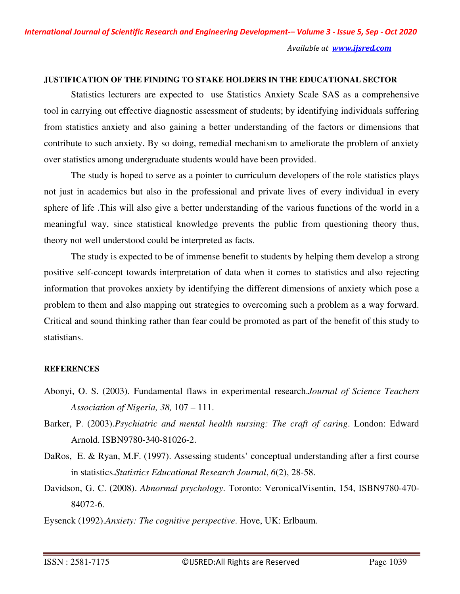# **JUSTIFICATION OF THE FINDING TO STAKE HOLDERS IN THE EDUCATIONAL SECTOR**

 Statistics lecturers are expected to use Statistics Anxiety Scale SAS as a comprehensive tool in carrying out effective diagnostic assessment of students; by identifying individuals suffering from statistics anxiety and also gaining a better understanding of the factors or dimensions that contribute to such anxiety. By so doing, remedial mechanism to ameliorate the problem of anxiety over statistics among undergraduate students would have been provided.

 The study is hoped to serve as a pointer to curriculum developers of the role statistics plays not just in academics but also in the professional and private lives of every individual in every sphere of life .This will also give a better understanding of the various functions of the world in a meaningful way, since statistical knowledge prevents the public from questioning theory thus, theory not well understood could be interpreted as facts.

 The study is expected to be of immense benefit to students by helping them develop a strong positive self-concept towards interpretation of data when it comes to statistics and also rejecting information that provokes anxiety by identifying the different dimensions of anxiety which pose a problem to them and also mapping out strategies to overcoming such a problem as a way forward. Critical and sound thinking rather than fear could be promoted as part of the benefit of this study to statistians.

# **REFERENCES**

- Abonyi, O. S. (2003). Fundamental flaws in experimental research.*Journal of Science Teachers Association of Nigeria, 38,* 107 – 111.
- Barker, P. (2003).*Psychiatric and mental health nursing: The craft of caring*. London: Edward Arnold. ISBN9780-340-81026-2.
- DaRos, E. & Ryan, M.F. (1997). Assessing students' conceptual understanding after a first course in statistics.*Statistics Educational Research Journal*, *6*(2), 28-58.
- Davidson, G. C. (2008). *Abnormal psychology*. Toronto: VeronicalVisentin, 154, ISBN9780-470- 84072-6.
- Eysenck (1992).*Anxiety: The cognitive perspective*. Hove, UK: Erlbaum.